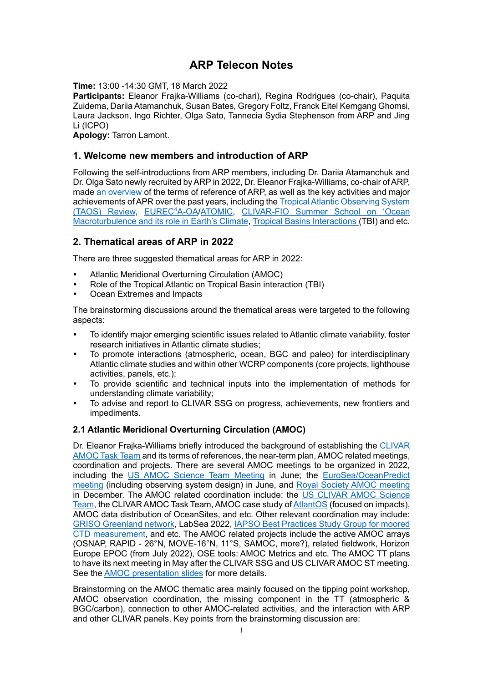### **ARP Telecon Notes**

**Time:** 13:00 -14:30 GMT, 18 March 2022

**Participants:** Eleanor Frajka-Williams (co-chari), Regina Rodrigues (co-chair), Paquita Zuidema, Dariia Atamanchuk, Susan Bates, Gregory Foltz, Franck Eitel Kemgang Ghomsi, Laura Jackson, Ingo Richter, Olga Sato, Tannecia Sydia Stephenson from ARP and Jing Li (ICPO)

**Apology:** Tarron Lamont.

#### **1. Welcome new members and introduction of ARP**

Following the self-introductions from ARP members, including Dr. Dariia Atamanchuk and Dr. Olga Sato newly recruited by ARP in 2022, Dr. Eleanor Frajka-Williams, co-chair of ARP, made [an overview](https://docs.google.com/presentation/d/1zzaq1p5Q_QkoulQ6GNCoqJQSdUsttj1t/edit?usp=sharing&ouid=108606745079314642006&rtpof=true&sd=true) of the terms of reference of ARP, as well as the key activities and major achievements of APR over the past years, including th[e Tropical Atlantic Observing System](https://www.clivar.org/tropical-atlantic-observing-system-review)  [\(TAOS\) Review,](https://www.clivar.org/tropical-atlantic-observing-system-review) [EUREC](http://eurec4a.eu/)<sup>4</sup>A-OA[/ATOMIC,](https://www.esrl.noaa.gov/psd/atomic/) [CLIVAR-FIO Summer School on 'Ocean](https://www.clivar.org/events/clivar-fio-summer-school-ocean-macroturbulence-and-its-role-earth%E2%80%99s-climate)  [Macroturbulence and its role in](https://www.clivar.org/events/clivar-fio-summer-school-ocean-macroturbulence-and-its-role-earth%E2%80%99s-climate) Earth's Climate[, Tropical Basins Interactions \(](http://www.clivar.org/research-foci/basin-interaction)TBI) and etc.

#### **2. Thematical areas of ARP in 2022**

There are three suggested thematical areas for ARP in 2022:

- Atlantic Meridional Overturning Circulation (AMOC)
- Role of the Tropical Atlantic on Tropical Basin interaction (TBI)
- Ocean Extremes and Impacts

The brainstorming discussions around the thematical areas were targeted to the following aspects:

- To identify major emerging scientific issues related to Atlantic climate variability, foster research initiatives in Atlantic climate studies;
- To promote interactions (atmospheric, ocean, BGC and paleo) for interdisciplinary Atlantic climate studies and within other WCRP components (core projects, lighthouse activities, panels, etc.);
- To provide scientific and technical inputs into the implementation of methods for understanding climate variability;
- To advise and report to CLIVAR SSG on progress, achievements, new frontiers and impediments.

#### **2.1 Atlantic Meridional Overturning Circulation (AMOC)**

Dr. Eleanor Frajka-Williams briefly introduced the background of establishing the [CLIVAR](https://www.clivar.org/clivar-amoc-task-team)  [AMOC Task Team](https://www.clivar.org/clivar-amoc-task-team) and its terms of references, the near-term plan, AMOC related meetings, coordination and projects. There are several AMOC meetings to be organized in 2022, including the [US AMOC Science Team Meeting](https://usclivar.org/meetings/2022-us-amoc-science-team-meeting) in June; the [EuroSea/OceanPredict](https://oceanpredict.org/events/eurosea-oceanpredict-workshop-on-ocean-prediction-and-observing-system-design/#event-overview)  [meeting](https://oceanpredict.org/events/eurosea-oceanpredict-workshop-on-ocean-prediction-and-observing-system-design/#event-overview) (including observing system design) in June, and [Royal Society AMOC meeting](https://royalsociety.org/science-events-and-lectures/2021/03/atlantic-overturning/) in December. The AMOC related coordination include: the [US CLIVAR](https://usclivar.org/panels/us-amoc-science-team) AMOC Science [Team,](https://usclivar.org/panels/us-amoc-science-team) the CLIVAR AMOC Task Team, AMOC case study o[f AtlantOS](http://www.atlantos-ocean.org/page22.html) (focused on impacts), AMOC data distribution of OceanSites, and etc. Other relevant coordination may include: [GRISO Greenland network,](https://griso.ucsd.edu/) LabSea 2022[, IAPSO Best Practices](http://iapso.iugg.org/images/stories/_working_groups/Best_practice_study_groups/moored_CTD_Best_Practices_2019-proposal.pdf) Study Group for moored CTD [measurement,](http://iapso.iugg.org/images/stories/_working_groups/Best_practice_study_groups/moored_CTD_Best_Practices_2019-proposal.pdf) and etc. The AMOC related projects include the active AMOC arrays (OSNAP, RAPID - 26°N, MOVE-16°N, 11°S, SAMOC, more?), related fieldwork, Horizon Europe EPOC (from July 2022), OSE tools: AMOC Metrics and etc. The AMOC TT plans to have its next meeting in May after the CLIVAR SSG and US CLIVAR AMOC ST meeting. See th[e AMOC presentation slides](https://docs.google.com/presentation/d/1SZFVZNxybnW9wNSQJS2F-fgbo7O_1-nR/edit?usp=sharing&ouid=108606745079314642006&rtpof=true&sd=true) for more details.

Brainstorming on the AMOC thematic area mainly focused on the tipping point workshop, AMOC observation coordination, the missing component in the TT (atmospheric & BGC/carbon), connection to other AMOC-related activities, and the interaction with ARP and other CLIVAR panels. Key points from the brainstorming discussion are: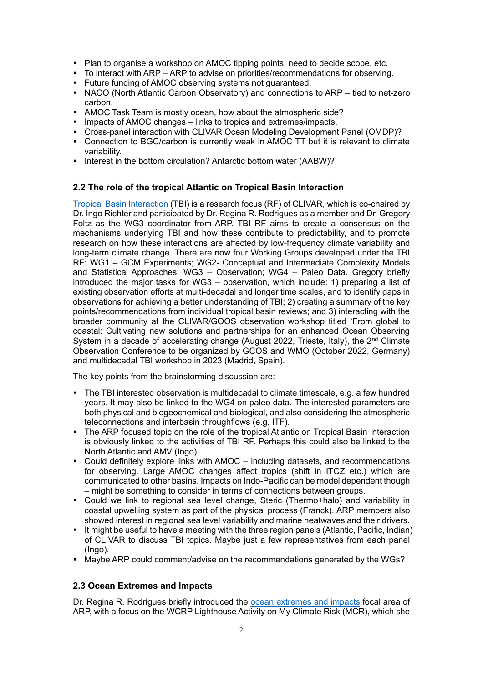- Plan to organise a workshop on AMOC tipping points, need to decide scope, etc.
- To interact with ARP ARP to advise on priorities/recommendations for observing.
- Future funding of AMOC observing systems not guaranteed.
- NACO (North Atlantic Carbon Observatory) and connections to ARP tied to net-zero carbon.
- AMOC Task Team is mostly ocean, how about the atmospheric side?
- Impacts of AMOC changes links to tropics and extremes/impacts.
- Cross-panel interaction with CLIVAR Ocean Modeling Development Panel (OMDP)?
- Connection to BGC/carbon is currently weak in AMOC TT but it is relevant to climate variability.
- Interest in the bottom circulation? Antarctic bottom water (AABW)?

#### **2.2 The role of the tropical Atlantic on Tropical Basin Interaction**

[Tropical Basin Interaction](http://www.clivar.org/research-foci/basin-interaction) (TBI) is a research focus (RF) of CLIVAR, which is co-chaired by Dr. Ingo Richter and participated by Dr. Regina R. Rodrigues as a member and Dr. Gregory Foltz as the WG3 coordinator from ARP. TBI RF aims to create a consensus on the mechanisms underlying TBI and how these contribute to predictability, and to promote research on how these interactions are affected by low-frequency climate variability and long-term climate change. There are now four Working Groups developed under the TBI RF: WG1 – GCM Experiments; WG2- Conceptual and Intermediate Complexity Models and Statistical Approaches; WG3 – Observation; WG4 – Paleo Data. Gregory briefly introduced the major tasks for WG3 – observation, which include: 1) preparing a list of existing observation efforts at multi-decadal and longer time scales, and to identify gaps in observations for achieving a better understanding of TBI; 2) creating a summary of the key points/recommendations from individual tropical basin reviews; and 3) interacting with the broader community at the CLIVAR/GOOS observation workshop titled 'From global to coastal: Cultivating new solutions and partnerships for an enhanced Ocean Observing System in a decade of accelerating change (August 2022, Trieste, Italy), the  $2<sup>nd</sup>$  Climate Observation Conference to be organized by GCOS and WMO (October 2022, Germany) and multidecadal TBI workshop in 2023 (Madrid, Spain).

The key points from the brainstorming discussion are:

- The TBI interested observation is multidecadal to climate timescale, e.g. a few hundred years. It may also be linked to the WG4 on paleo data. The interested parameters are both physical and biogeochemical and biological, and also considering the atmospheric teleconnections and interbasin throughflows (e.g. ITF).
- The ARP focused topic on the role of the tropical Atlantic on Tropical Basin Interaction is obviously linked to the activities of TBI RF. Perhaps this could also be linked to the North Atlantic and AMV (Ingo).
- Could definitely explore links with AMOC including datasets, and recommendations for observing. Large AMOC changes affect tropics (shift in ITCZ etc.) which are communicated to other basins. Impacts on Indo-Pacific can be model dependent though – might be something to consider in terms of connections between groups.
- Could we link to regional sea level change, Steric (Thermo+halo) and variability in coastal upwelling system as part of the physical process (Franck). ARP members also showed interest in regional sea level variability and marine heatwaves and their drivers.
- It might be useful to have a meeting with the three region panels (Atlantic, Pacific, Indian) of CLIVAR to discuss TBI topics. Maybe just a few representatives from each panel (Ingo).
- Maybe ARP could comment/advise on the recommendations generated by the WGs?

#### **2.3 Ocean Extremes and Impacts**

Dr. Regina R. Rodrigues briefly introduced the [ocean extremes and impacts](https://drive.google.com/file/d/1UWvGkmLF6jOds3SbwfaMPVntn4gp480A/view?usp=sharing) focal area of ARP, with a focus on the WCRP Lighthouse Activity on My Climate Risk (MCR), which she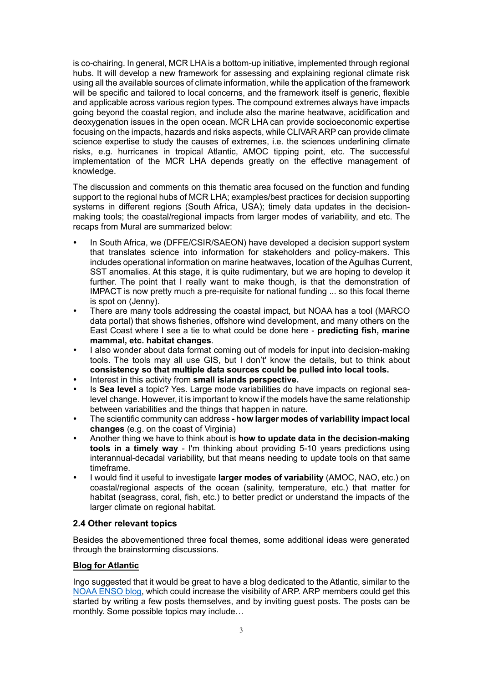is co-chairing. In general, MCR LHA is a bottom-up initiative, implemented through regional hubs. It will develop a new framework for assessing and explaining regional climate risk using all the available sources of climate information, while the application of the framework will be specific and tailored to local concerns, and the framework itself is generic, flexible and applicable across various region types. The compound extremes always have impacts going beyond the coastal region, and include also the marine heatwave, acidification and deoxygenation issues in the open ocean. MCR LHA can provide socioeconomic expertise focusing on the impacts, hazards and risks aspects, while CLIVAR ARP can provide climate science expertise to study the causes of extremes, i.e. the sciences underlining climate risks, e.g. hurricanes in tropical Atlantic, AMOC tipping point, etc. The successful implementation of the MCR LHA depends greatly on the effective management of knowledge.

The discussion and comments on this thematic area focused on the function and funding support to the regional hubs of MCR LHA; examples/best practices for decision supporting systems in different regions (South Africa, USA); timely data updates in the decisionmaking tools; the coastal/regional impacts from larger modes of variability, and etc. The recaps from Mural are summarized below:

- In South Africa, we (DFFE/CSIR/SAEON) have developed a decision support system that translates science into information for stakeholders and policy-makers. This includes operational information on marine heatwaves, location of the Agulhas Current, SST anomalies. At this stage, it is quite rudimentary, but we are hoping to develop it further. The point that I really want to make though, is that the demonstration of IMPACT is now pretty much a pre-requisite for national funding ... so this focal theme is spot on (Jenny).
- There are many tools addressing the coastal impact, but NOAA has a tool (MARCO data portal) that shows fisheries, offshore wind development, and many others on the East Coast where I see a tie to what could be done here - **predicting fish, marine mammal, etc. habitat changes**.
- I also wonder about data format coming out of models for input into decision-making tools. The tools may all use GIS, but I don't' know the details, but to think about **consistency so that multiple data sources could be pulled into local tools.**
- Interest in this activity from **small islands perspective.**
- Is **Sea level** a topic? Yes. Large mode variabilities do have impacts on regional sealevel change. However, it is important to know if the models have the same relationship between variabilities and the things that happen in nature.
- The scientific community can address **- how larger modes of variability impact local changes** (e.g. on the coast of Virginia)
- Another thing we have to think about is **how to update data in the decision-making tools in a timely way** - I'm thinking about providing 5-10 years predictions using interannual-decadal variability, but that means needing to update tools on that same timeframe.
- I would find it useful to investigate **larger modes of variability** (AMOC, NAO, etc.) on coastal/regional aspects of the ocean (salinity, temperature, etc.) that matter for habitat (seagrass, coral, fish, etc.) to better predict or understand the impacts of the larger climate on regional habitat.

#### **2.4 Other relevant topics**

Besides the abovementioned three focal themes, some additional ideas were generated through the brainstorming discussions.

#### **Blog for Atlantic**

Ingo suggested that it would be great to have a blog dedicated to the Atlantic, similar to the [NOAA ENSO blog,](https://www.climate.gov/news-features/blogs/enso) which could increase the visibility of ARP. ARP members could get this started by writing a few posts themselves, and by inviting guest posts. The posts can be monthly. Some possible topics may include…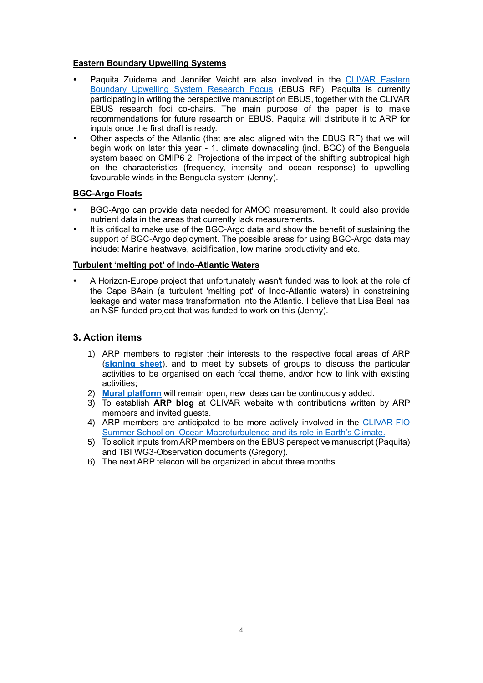#### **Eastern Boundary Upwelling Systems**

- Paquita Zuidema and Jennifer Veicht are also involved in the CLIVAR Eastern [Boundary Upwelling System Research Focus](https://www.clivar.org/research-foci/upwelling) (EBUS RF). Paquita is currently participating in writing the perspective manuscript on EBUS, together with the CLIVAR EBUS research foci co-chairs. The main purpose of the paper is to make recommendations for future research on EBUS. Paquita will distribute it to ARP for inputs once the first draft is ready.
- Other aspects of the Atlantic (that are also aligned with the EBUS RF) that we will begin work on later this year - 1. climate downscaling (incl. BGC) of the Benguela system based on CMIP6 2. Projections of the impact of the shifting subtropical high on the characteristics (frequency, intensity and ocean response) to upwelling favourable winds in the Benguela system (Jenny).

#### **BGC-Argo Floats**

- BGC-Argo can provide data needed for AMOC measurement. It could also provide nutrient data in the areas that currently lack measurements.
- It is critical to make use of the BGC-Argo data and show the benefit of sustaining the support of BGC-Argo deployment. The possible areas for using BGC-Argo data may include: Marine heatwave, acidification, low marine productivity and etc.

#### **Turbulent 'melting pot' of Indo-Atlantic Waters**

 A Horizon-Europe project that unfortunately wasn't funded was to look at the role of the Cape BAsin (a turbulent 'melting pot' of Indo-Atlantic waters) in constraining leakage and water mass transformation into the Atlantic. I believe that Lisa Beal has an NSF funded project that was funded to work on this (Jenny).

#### **3. Action items**

- 1) ARP members to register their interests to the respective focal areas of ARP (**[signing sheet](https://docs.google.com/spreadsheets/d/1J8HnhqYzCtrA-pQhhOdB1StDoPbIGiV5/edit?usp=sharing&ouid=108606745079314642006&rtpof=true&sd=true)**), and to meet by subsets of groups to discuss the particular activities to be organised on each focal theme, and/or how to link with existing activities;
- 2) **[Mural platform](https://app.mural.co/t/clivar4598/m/clivar4598/1647336031896/46b4f8d4d7e7c62e7246c5d86a05f91001327320?sender=u4df579e91b2ebe80c2356442)** will remain open, new ideas can be continuously added.
- 3) To establish **ARP blog** at CLIVAR website with contributions written by ARP members and invited guests.
- 4) ARP members are anticipated to be more actively involved in the CLIVAR-FIO [Summer School on 'Ocean Macroturbulence and its role](https://www.clivar.org/events/clivar-fio-summer-school-ocean-macroturbulence-and-its-role-earth%E2%80%99s-climate) in Earth's Climate.
- 5) To solicit inputs from ARP members on the EBUS perspective manuscript (Paquita) and TBI WG3-Observation documents (Gregory).
- 6) The next ARP telecon will be organized in about three months.